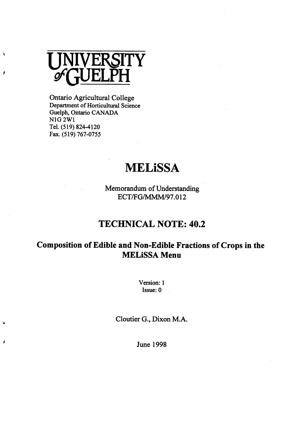

Â

#### N1G 2W1<br>-Tel. (519) 824-4120 Fax. (519) 767-0755 Ontario Agricultural College Department of Horticultural Science Guelph, Ontario CANADA

# **MELiSSA**

ECT/FG/MMM/97.012 Memorandum of Understanding

## **TECHNICAL NOTE: 40.2**

### **MELiSSA Menu Composition of Edible and Non-Edible Fractions of Crops in the**

Version: I Issue: 0

Cloutier G., Dixon M.A.

June 1998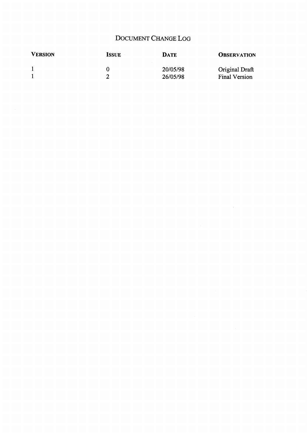### DOCUMENT CHANGE LOG

 $\label{eq:2.1} \frac{1}{\sqrt{2}}\int_{0}^{\infty}\frac{1}{\sqrt{2\pi}}\left(\frac{1}{\sqrt{2\pi}}\right)^{2}d\mu\left(\frac{1}{\sqrt{2\pi}}\right)\frac{d\mu}{d\mu}d\mu\left(\frac{1}{\sqrt{2\pi}}\right).$ 

| <b>VERSION</b> | <b>ISSUE</b> | <b>DATE</b>          | <b>OBSERVATION</b>              |
|----------------|--------------|----------------------|---------------------------------|
|                |              | 20/05/98<br>26/05/98 | Original Draft<br>Final Version |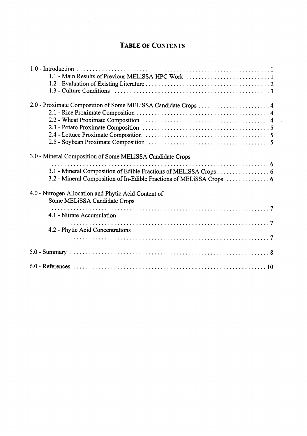#### **TABLE OF CONTENTS**

| 1.1 - Main Results of Previous MELiSSA-HPC Work 1                                                                                                                                                                                                             |
|---------------------------------------------------------------------------------------------------------------------------------------------------------------------------------------------------------------------------------------------------------------|
|                                                                                                                                                                                                                                                               |
| 3.0 - Mineral Composition of Some MELiSSA Candidate Crops<br>3.1 - Mineral Composition of Edible Fractions of MELiSSA Crops 6<br>3.2 - Mineral Composition of In-Edible Fractions of MELISSA Crops  6<br>4.0 - Nitrogen Allocation and Phytic Acid Content of |
| Some MELiSSA Candidate Crops<br>4.1 - Nitrate Accumulation<br>4.2 - Phytic Acid Concentrations                                                                                                                                                                |
|                                                                                                                                                                                                                                                               |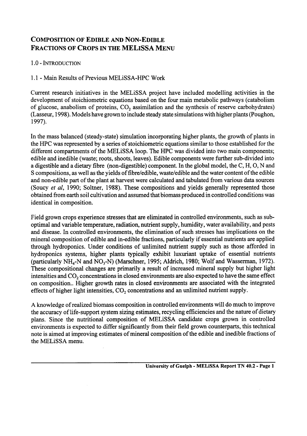#### **C OMPOSITION OF EDIBLE AND NON -E DIBLE FRACTIONS OF CROPS IN THE MELISSA MENU**

1.0 - INTRODUCTION

## 1.1 - Main Results of Previous MELISSA-HPC WORK

Current research initiatives in the MELiSSA project have included modelling activities in the development of stoichiometric equations based on the four main metabolic pathways (catabolism of glucose, anabolism of proteins,  $CO<sub>2</sub>$  assimilation and the synthesis of reserve carbohydrates) (Lasseur, 1998). Models have grown to include steady state simulations with higher plants (Poughon, 1997).

(Saucy *et al,* 1990; Soltner, 1988). These compositions and yields generally represented those obtained from earth soil cultivation and assumed that biomass produced in controlled conditions was identical in composition. In the mass balanced (steady-state) simulation incorporating higher plants, the growth of plants in the HPC was represented by a series of stoichiometric equations similar to those established for the different compartments of the MELiSSA loop. The HPC was divided into two main components; edible and inedible (waste; roots, shoots, leaves). Edible components were further sub-divided into a digestible and a dietary fibre (non-digestible) component. In the global model, the C, H, 0, N and S compositions, as well as the yields of fibre/edible, waste/edible and the water content of the edible and non-edible part of the plant at harvest were calculated and tabulated from various data sources

Field grown crops experience stresses that are eliminated in controlled environments, such as suboptimal and variable temperature, radiation, nutrient supply, humidity, water availability, and pests and disease. In controlled environments, the elimination of such stresses has implications on the mineral composition of edible and in-edible fractions, particularly if essential nutrients are applied through hydroponics. Under conditions of unlimited nutrient supply such as those afforded in hydroponics systems, higher plants typically exhibit luxuriant uptake of essential nutrients (particularly NH,-N and NO,-N) (Marschner, 1995; Aldrich, 1980; Wolf and Wasserman, 1972). These compositional changes are primarily a result of increased mineral supply but higher light intensities and CO, concentrations in closed environments are also expected to have the same effect on composition.. Higher growth rates in closed environments are associated with the integrated effects of higher light intensities, CO, concentrations and an unlimited nutrient supply.

A knowledge of realized biomass composition in controlled environments will do much to improve the accuracy of life-support system sizing estimates, recycling efficiencies and the nature of dietary plans. Since the nutritional composition of MELiSSA candidate crops grown in controlled environments is expected to differ significantly from their field grown counterparts, this technical note is aimed at improving estimates of mineral composition of the edible and inedible fractions of the MELiSSA menu.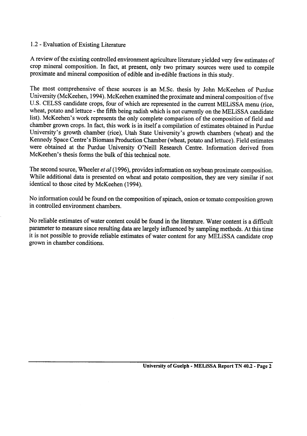#### 1.2 - Evaluation of Existing Literature

A review of the existing controlled environment agriculture literature yielded very few estimates of crop mineral composition. In fact, at present, only two primary sources were used to compile proximate and mineral composition of edible and in-edible fractions in this study.

were obtained at the Purdue University O'Neill Research Centre. Information derived from McKeehen's thesis forms the bulk of this technical note. wheat, potato and lettuce - the fifth being radish which is not currently on the MELiSSA candidat list). McKeehen's work represents the only complete comparison of the composition of field and chamber grown crops. In fact, this work is in itself a compilation of estimates obtained in Purdue University's growth chamber (rice), Utah State University's growth chambers (wheat) and the Kennedy Space Centre's Biomass Production Chamber (wheat, potato and lettuce). Field estimates University (McKeehen, 1994). McKeehen examined the proximate and mineral composition of five U.S. CELSS candidate crops, four of which are represented in the current MELiSSA menu (rice, The most comprehensive of these sources is an M.Sc. thesis by John McKeehen of Purdue

I he second source, Wheeler *et al* (1996), provides information on soybean proximate composition While additional data is presented on wheat and potato composition, they are very similar if not identical to those cited by McKeehen (1994).

No information could be found on the composition of spinach, onion or tomato composition grown in controlled environment chambers.

No reliable estimates of water content could be found in the literature. Water content is a difficult parameter to measure since resulting data are largely influenced by sampling methods. At this time it is not possible to provide reliable estimates of water content for any MELiSSA candidate crop grown in chamber conditions.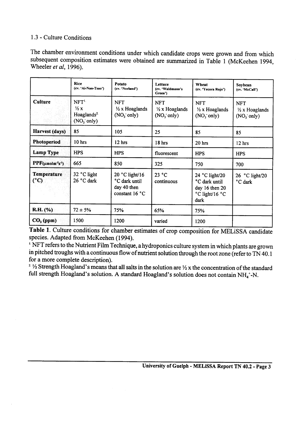#### 1.3 - Culture Conditions

The chamber environment conditions under which candidate crops were grown and from which subsequent composition estimates were obtained are summarized in Table 1 (McKeehen 1994, Wheeler *et al,* 1996).

|                                                          | Rice<br>(cv. 'Ai-Nan-Tsao')                                                            | Potato<br>(cv. 'Norland')                                                  | Lettuce<br>(cv. 'Waldmann's<br>Green')                            | Wheat<br>(cv. 'Yecora Rojo')                                                | Sovbean<br>(cv. 'McCall')                                         |
|----------------------------------------------------------|----------------------------------------------------------------------------------------|----------------------------------------------------------------------------|-------------------------------------------------------------------|-----------------------------------------------------------------------------|-------------------------------------------------------------------|
| <b>Culture</b>                                           | NFT <sup>L</sup><br>$\frac{1}{2}x$<br>Hoaglands <sup>2</sup><br>(NO <sub>3</sub> only) | <b>NFT</b><br>$\frac{1}{2}$ x Hoaglands<br>(NO <sub>3</sub> only)          | <b>NFT</b><br>$\frac{1}{2}$ x Hoaglands<br>(NO <sub>3</sub> only) | <b>NFT</b><br>$\frac{1}{2}$ x Hoaglands<br>(NO <sub>3</sub> only)           | <b>NFT</b><br>$\frac{1}{2}$ x Hoaglands<br>(NO <sub>3</sub> only) |
| Harvest (days)                                           | 85                                                                                     | 105                                                                        | 25                                                                |                                                                             | 85                                                                |
| Photoperiod                                              | 10 hrs                                                                                 | 12 hrs                                                                     | 18 hrs                                                            | 20 hrs                                                                      | 12 hrs                                                            |
| <b>Lamp Type</b>                                         | <b>HPS</b>                                                                             | <b>HPS</b>                                                                 | fluorescent                                                       | <b>HPS</b>                                                                  | <b>HPS</b>                                                        |
| $\text{PPF}(\mu \text{mol} \text{m}^{-2} \text{s}^{-1})$ | 665                                                                                    | 850                                                                        | 325                                                               | 750                                                                         | 700                                                               |
| <b>Temperature</b><br>$(^{\circ}C)$                      | 32 °C light<br>26 °C dark                                                              | 20 $^{\circ}$ C light/16<br>°C dark until<br>day 40 then<br>constant 16 °C | 23 °C<br>continuous                                               | 24 °C light/20<br>°C dark until<br>day 16 then 20<br>°C light/16 °C<br>dark | 26 $^{\circ}$ C light/20<br>°C dark                               |
| R.H. (%)                                                 | $72 \pm 5\%$                                                                           | 75%                                                                        | 65%                                                               | 75%                                                                         |                                                                   |
| $CO2$ (ppm)                                              | 1500                                                                                   | 1200                                                                       | varied                                                            | 1200                                                                        |                                                                   |

**Table 1.** Culture conditions for chamber estimates of crop composition for MELiSSA candidate species. Adapted from McKeehen (1994).

<sup>1</sup> NFT refers to the Nutrient Film Technique, a hydroponics culture system in which plants are grown in pitched troughs with a continuous flow of nutrient solution through the root zone (refer to TN 40.1 for a more complete description).

 $\frac{1}{2}$  Strength Hoagland's means that all salts in the solution are  $\frac{1}{2}$  x the concentration of the standar full strength Hoagland's solution. A standard Hoagland's solution does not contain NH<sub>4</sub>+-N.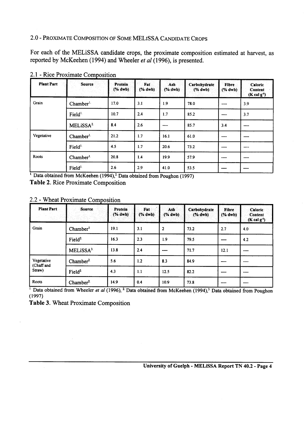### **-** PROXIMATE COMPOSITION OF SOME MEL ISSA CANDIDATE CROPS **2.0**

reported by McKeehen (1994) and Wheeler *et al* (1996), is presented For each of the MELISSA candidate crops, the proximate composition estimated at harvest, a

| <b>Plant Part</b> | <b>Source</b>        | Protein<br>$(% \mathbf{a})$ (% dwb) | Fat<br>(% dwb) | Ash<br>$(*dwb)$ | Carbohydrate<br>$(*dwb)$ | Fibre<br>(% dwb) | Caloric<br>Content<br>$(Kcal g-1)$ |
|-------------------|----------------------|-------------------------------------|----------------|-----------------|--------------------------|------------------|------------------------------------|
| Grain             | Chamber <sup>1</sup> | 17.0                                | 3.1            | 1.9             | 78.0                     | ----             | 3.9                                |
|                   | Field <sup>1.</sup>  | 10.7                                | 2.4            | 1.7             | 85.2                     | $- - - -$        | 3.7                                |
|                   | MELiSSA <sup>2</sup> | 8.4                                 | 2.6            | ----            | 85.7                     | 3.4              | ----                               |
| Vegetative        | Chamber <sup>1</sup> | 21.2                                | 1.7            | 16.1            | 61.0                     | ----             | ----                               |
|                   | Field <sup>1</sup>   | 4.5                                 | 1.7            | 20.6            | 73.2                     | ----             | ----                               |
| Roots             | Chamber <sup>1</sup> | 20.8                                | 1.4            | 19.9            | 57.9                     | $- - - -$        | $- - - -$                          |
|                   | Field <sup>1</sup>   | 2.6                                 | 2.9            | 41.0            | 53.5                     | $- - - -$        | $- - - -$                          |

2.1 - Rice Proximate Composition

, \_ . **'.** Data obtained from McKeehen ( 1994),2. Data obtained from Pot&on (1997) **Table 2. Rice** Proximate Composition

#### 2.2 - Wheat Proximate Composition

| <b>Plant Part</b>        | Source                | Protein<br>(% dwb) | Fat<br>(% dwb) | Ash<br>(% dwb) | Carbohydrate<br>$%$ dwb) | <b>Fibre</b><br>(% dwb) | Caloric<br><b>Content</b><br>$(K \text{ cal } g^{-1})$ |
|--------------------------|-----------------------|--------------------|----------------|----------------|--------------------------|-------------------------|--------------------------------------------------------|
| Grain                    | Chamber <sup>1</sup>  | 19.1               | 3.1            | $\overline{2}$ | 73.2                     | 2.7                     | 4.0                                                    |
|                          | Field <sup>2.</sup>   | 16.3               | 2.3            | 1.9            | 79.5                     | $\cdots$                | 4.2                                                    |
|                          | MELISSA <sup>3.</sup> | 13.8               | 2.4            | $- - -$        | 71.7                     | 12.1                    | $- - - -$                                              |
| Vegetative<br>(Chaff and | Chamber <sup>2</sup>  | 5.6                | 1.2            | 8.3            | 84.9                     | ----                    | $- - - -$                                              |
| Straw)                   | Field <sup>2</sup>    | 4.3                | 1.1            | 12.5           | 82.2                     | $- - - -$               | $- - - -$                                              |
| Roots                    | Chamber <sup>2.</sup> | 14.9               | 0.4            | 10.9           | 73.8                     | ----                    | ----                                                   |

(1997) ' Data obtained from Wheeler *et al* (1996), <sup>2.</sup> Data obtained from McKeehen (1994), <sup>3.</sup> Data obtained from Poughon

**Table 3.** Wheat Proximate Composition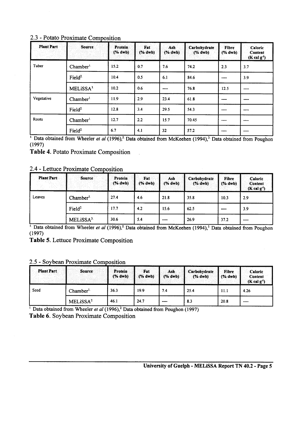| 2.3 - Potato Proximate Composition |  |
|------------------------------------|--|
|------------------------------------|--|

| <b>Plant Part</b><br>area last | <b>Source</b>        | <b>Protein</b><br>(% dwb) | Fat<br>(% dwb) | Ash<br>(% dwb) | Carbohydrate<br>$(% \mathbf{A})$ $\mathbf{A}$ $\mathbf{A}$ $\mathbf{B}$ $\mathbf{A}$ $\mathbf{B}$ $\mathbf{A}$ $\mathbf{B}$ $\mathbf{A}$ $\mathbf{B}$ $\mathbf{B}$ $\mathbf{B}$ $\mathbf{A}$ $\mathbf{B}$ $\mathbf{B}$ $\mathbf{B}$ $\mathbf{B}$ $\mathbf{B}$ $\mathbf{B}$ $\mathbf{B}$ $\mathbf{B}$ $\mathbf{B}$ $\mathbf{B}$ $\mathbf{B}$ $\mathbf$ | Fibre<br>(% dwb). | Caloric<br>Content<br>$(Kcal g-1)$ |
|--------------------------------|----------------------|---------------------------|----------------|----------------|-------------------------------------------------------------------------------------------------------------------------------------------------------------------------------------------------------------------------------------------------------------------------------------------------------------------------------------------------------|-------------------|------------------------------------|
| Tuber                          | Chamber <sup>L</sup> | 15.2                      | 0.7            | 7.6            | 74.2                                                                                                                                                                                                                                                                                                                                                  | 2.3               | 3.7                                |
|                                | Field <sup>2</sup>   | 10.4                      | 0.5            | 6.1            | 84.6                                                                                                                                                                                                                                                                                                                                                  | $\cdots$          | 3.9                                |
|                                | MELISSA <sup>3</sup> | 10.2                      | 0.6            | $- - - -$      | 76.8                                                                                                                                                                                                                                                                                                                                                  | 12.5              | $\sim$                             |
| Vegetative                     | Chamber <sup>1</sup> | 11.9                      | 2.9            | 23.4           | 61.8                                                                                                                                                                                                                                                                                                                                                  | $- - - -$         | $- - -$                            |
|                                | Field <sup>2</sup>   | 12.8                      | 3.4            | 29.5           | 54.3                                                                                                                                                                                                                                                                                                                                                  | ----              |                                    |
| Roots                          | Chamber <sup>1</sup> | 12.7                      | 2.2            | 15.7           | 70.45                                                                                                                                                                                                                                                                                                                                                 | ----              | $- - - -$                          |
|                                | Field <sup>2</sup>   | 6.7                       | 4.1            | 32             | 57.2                                                                                                                                                                                                                                                                                                                                                  | ----              | ----                               |

" Data obtained from Wheeler *et al* (1996)," Data obtained from McKeehen (1994)," Data obtained from Poughor (1997)

**Table 4.** Potato Proximate Composition

2.4 - Lettuce Proximate Composition

| <b>Plant Part</b><br>and the second | Source                | Protein<br>(% dwb) | <b>Fat</b><br>(% dwb) | Ash<br>(% dwb) | Carbohydrate<br>(% dwb) | Fibre<br>(% dwb) | <b>Caloric</b><br>Content<br>$(K \text{ cal } g^{-1})$ |
|-------------------------------------|-----------------------|--------------------|-----------------------|----------------|-------------------------|------------------|--------------------------------------------------------|
| Leaves                              | Chamber <sup>1.</sup> | 27.4               | 4.6                   | 21.8           | 35.8                    | 10.3             | 2.9                                                    |
|                                     | Field $2$             | 17.7               | 4.2                   | 15.6           | 62.5                    | $- - - -$        | 3.9                                                    |
|                                     | MELiSSA <sup>3.</sup> | 30.6               | 5.4                   | $- - - -$      | 26.9                    | 37.2             | $\frac{1}{2}$                                          |

994),3- Data obtained from Poughon ' Data obtained from Wheeler *et al* (1 996J2. Data obtained from McKeehen (1 (1997)

**Table 5.** Lettuce Proximate Composition

2.5 - Soybean Proximate Composition

| <b>Plant Part</b>                   | Source:              | Protein<br>$(*)$ dwb) | Fat<br>(% dwb) | Ash<br>$(*)$ dwb) | Carbohydrate<br>$(% \mathcal{L}_{0}\cap \mathcal{L}_{1})$ | Fibre<br>$\sqrt{24}$ dwb) | <b>Caloric</b><br>Content<br>$(K \, cal \, g-1)$ |
|-------------------------------------|----------------------|-----------------------|----------------|-------------------|-----------------------------------------------------------|---------------------------|--------------------------------------------------|
| Seed<br>$\mathbb C$ hamber $^{1.7}$ |                      | 36.3                  | 19.9           | 7.4               | 25.4                                                      | 11.1                      | 4.26                                             |
|                                     | MELISSA <sup>2</sup> | 46.1                  | 24.7           | ----              | 8.3                                                       | 20.8                      | ----                                             |

'Data obtained from Wheeler *et al* (1996),<sup>2</sup> Data obtained from Poughon (1997) **Table 6.** Soybean Proximate Composition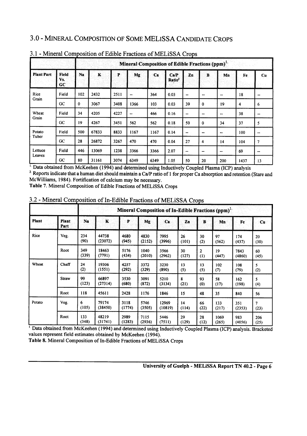### 3.0 - MINERAL COMPOSITION OF SOME MELISSA CANDIDATE CROPS

|                   | Mineral Composition of Edible Fractions (ppm) <sup>1</sup> |          |         |      |      |      |                            |                |                  |                  |      |                  |
|-------------------|------------------------------------------------------------|----------|---------|------|------|------|----------------------------|----------------|------------------|------------------|------|------------------|
| <b>Plant Part</b> | Field<br>Vs.<br>cc                                         | Na       | $\bf K$ | P    | Mg   | Ca   | Ca/P<br>Ratio <sup>2</sup> | Zn             | $\mathbf{B}$     | Mn               | Fe   | $u$              |
| Rice<br>Grain     | Field                                                      | 102      | 2432    | 2511 | --   | 364  | 0.03                       | --             | $\bullet\bullet$ | $\bullet\bullet$ | 18   | --               |
|                   | GC                                                         | $\bf{0}$ | 3067    | 3408 | 1366 | 103  | 0.03                       | 39             | $\bf{0}$         | 19               | 4    | 6                |
| Wheat             | Field                                                      | 34       | 4205    | 4227 | --   | 466  | 0.16                       | --             | ⊷                | $\bullet\bullet$ | 38   | --               |
| Grain             | GC                                                         | 19       | 4267    | 3451 | 562  | 562  | 0.18                       | 50             | $\bf{0}$         | 34               | 37   | 5                |
| Potato            | Field                                                      | 500      | 67833   | 8833 | 1167 | 1167 | 0.14                       | --             | --               | --               | 100  | $\bullet\bullet$ |
| Tuber             | GC                                                         | 28       | 26872   | 3267 | 470  | 470  | 0.04                       | 27             | 4                | 14               | 104  | 7                |
| Lettuce           | Field                                                      | 446      | 13069   | 1238 | 3366 | 3366 | 2.07                       | $\blacksquare$ | --               | --               | 69   | $\bullet\bullet$ |
| Leaves            | GC                                                         | 80       | 31161   | 3074 | 6349 | 6349 | 1.05                       | 50             | 20               | 200              | 1437 | 13               |

#### 3.1 - Mineral Composition of Edible Fractions of MELISSA Crops

McWilliams, 1984). Fortification of calcium may be necessary. <sup>2</sup> Reports indicate that a human diet should maintain a Ca/P ratio of 1 for proper Ca absorption and retention (Stare and '. Data obtained from McKeehen (1994) and determined using Inductively Coupled Plasma (ICP) analysis

**Table 7. Mineral Composition of Edible Fractions of MELiSSA Crops**

|        |                      |              | Mineral Composition of In-Edible Fractions (ppm) <sup>1</sup> |                |                |                  |             |            |               |                |             |  |
|--------|----------------------|--------------|---------------------------------------------------------------|----------------|----------------|------------------|-------------|------------|---------------|----------------|-------------|--|
| Plant  | <b>Plant</b><br>Part | Na           | $\mathbf K$                                                   | P              | Mg             | Ca               | Zn          | $\bf{B}$   | Mn            | Fe             | Cu.         |  |
| Rice   | Veg.                 | 234<br>(90)  | 44738<br>(23072)                                              | 4680<br>(945)  | 4830<br>(2152) | 7995<br>(3996)   | 26<br>(101) | 30<br>(2)  | 97<br>(562)   | 174<br>(437)   | 20<br>(30)  |  |
|        | Root                 | 349<br>(339) | 18463<br>(7791)                                               | 5176<br>(434)  | 1040<br>(2010) | 3566<br>(2962)   | 30<br>(127) | 2<br>(1)   | 19<br>(447)   | 7843<br>(4860) | 60<br>(45)  |  |
| Wheat  | Chaff                | 24<br>(2)    | 19306<br>(1551)                                               | 4257<br>(292)  | 3372<br>(329)  | 3230<br>(890)    | 13<br>(5)   | 13<br>(5)  | 102<br>(7)    | 108<br>(79)    | 5<br>(2)    |  |
|        | Straw                | 99<br>(123)  | 66897<br>(27314)                                              | 3530<br>(680)  | 3091<br>(872)  | 5210<br>(3134)   | 8<br>(21)   | 93<br>(0)  | 58<br>(17)    | 162<br>(198)   | 5<br>(4)    |  |
|        | Root                 | 118          | 45611                                                         | 2428           | 1176           | 1846             | 15          | 48         | 35            | 840            | 56          |  |
| Potato | Veg.                 | 6<br>(105)   | 79174<br>(38450)                                              | 3118<br>(1774) | 5746<br>(3505) | 12969<br>(10819) | 14<br>(114) | 66<br>(22) | 133<br>(217)  | 351<br>(2353)  | 7<br>(23)   |  |
|        | Root                 | 133<br>(348) | 48219<br>(31741)                                              | 2989<br>(1283) | 7115<br>(2936) | 5446<br>(7511)   | 29<br>(129) | 28<br>(12) | 1069<br>(265) | 983<br>(4056)  | 206<br>(25) |  |

3.2 - Mineral Composition of In-Edible Fractions of MELISSA Crop

' Data obtained from McKeehen (1994) and determined using Inductively Coupled Plasma (ICP) analysis. Bracketed values represent field estimates obtained by McKeehen (1994).

**Table 8. Mineral Composition of In-Edible Fractions of MELiSSA Crops**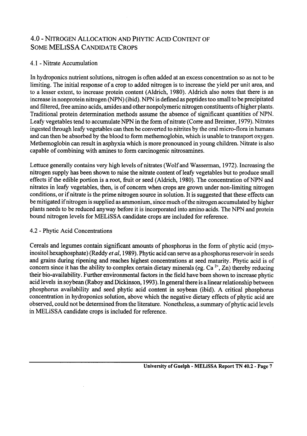#### 4.0 - NITROGEN ALLOCATION AND PHYTIC ACID CONTENT O SOME MELISSA CANDIDATE CROPS

## 4.1 - Nitrate Accumulation

capable of combining with amines to form carcinogenic nitrosamines increase in nonprotein nitrogen (NPN) (ibid). NPN is defined as peptides too small to be precipitated and filtered, free amino acids, amides and other nonpolymeric nitrogen constituents of higher plants. Traditional protein determination methods assume the absence of significant quantities of NPN. Leafy vegetables tend to accumulate NPN in the form of nitrate (Corre and Breimer, 1979). Nitrates ingested through leafy vegetables can then be converted to nitrites by the oral micro-flora in humans and can then be absorbed by the blood to form methemoglobin, which is unable to transport oxygen. Methemoglobin can result in asphyxia which is more pronounced in young children. Nitrate is also In hydroponics nutrient solutions, nitrogen is often added at an excess concentration so as not to be limiting. The initial response of a crop to added nitrogen is to increase the yield per unit area, and to a lesser extent, to increase protein content (Aldrich, 1980). Aldrich also notes that there is an

Lettuce generally contains very high levels of nitrates (Wolf and Wasserman, 1972). Increasing the nitrogen supply has been shown to raise the nitrate content of leafy vegetables but to produce small effects if the edible portion is a root, fruit or seed (Aldrich, 1980). The concentration of NPN and nitrates in leafy vegetables, then, is of concern when crops are grown under non-limiting nitrogen conditions, or if nitrate is the prime nitrogen source in solution. It is suggested that these effects can be mitigated if nitrogen is supplied as ammonium, since much of the nitrogen accumulated by higher plants needs to be reduced anyway before it is incorporated into amino acids. The NPN and protein bound nitrogen levels for MELiSSA candidate crops are included for reference.

### 4.2 - Phytic Acid Concentration

concern since it has the ability to complex certain dietary minerals (eg. Ca<sup>+</sup>, Zn) thereby reducing their bio-availability. Further environmental factors in the field have been shown to increase phytic acid levels in soybean (Raboy and Dickinson, 1993). In general there is a linear relationship between phosphorus availability and seed phytic acid content in soybean (ibid). A critical phosphorus concentration in hydroponics solution, above which the negative dietary effects of phytic acid are observed, could not be determined from the literature. Nonetheless, a summary of phytic acid levels in MELiSSA candidate crops is included for reference. Cereals and legumes contain significant amounts of phosphorus in the form of phytic acid (myoinositol hexaphosphate) (Reddy *et al,* 1989). Phytic acid can serve as a phosphorus reservoir in seeds and grains during ripening and reaches highest concentrations at seed maturity. Phytic acid is of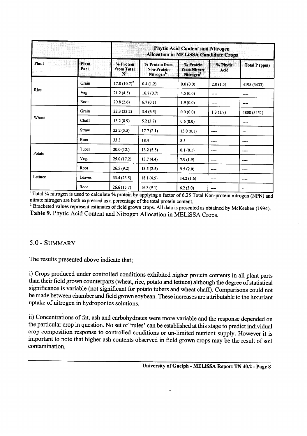|         |               |                                    | Phytic Acid Content and Nitrogen<br>Allocation in MELISSA Candidate Crops |                                                     |                  |               |  |  |  |  |  |
|---------|---------------|------------------------------------|---------------------------------------------------------------------------|-----------------------------------------------------|------------------|---------------|--|--|--|--|--|
| Plant   | Plant<br>Part | % Protein<br>from Total<br>$N^{1}$ | % Protein from<br><b>Non-Protein</b><br>Nitrogen <sup>1</sup>             | % Protein<br>from Nitrate<br>Nitrogen <sup>1.</sup> | % Phytic<br>Acid | Total P (ppm) |  |  |  |  |  |
|         | Grain         | 17.0 $(10.7)^2$                    | 0.4(1.2)                                                                  | 0.0(0.0)                                            | 2.0(1.5)         | 4198 (3433)   |  |  |  |  |  |
| Rice    | Veg.          | 21.2(4.5)                          | 10.7(0.7)                                                                 | 4.5(0.0)                                            | ----             | ----          |  |  |  |  |  |
|         | Root          | 20.8(2.6)                          | 6.7(0.1)                                                                  | 1.9(0.0)                                            | ----             | ----          |  |  |  |  |  |
|         | Grain         | 22.3(23.2)                         | 3.4(6.5)                                                                  | 0.0(0.0)                                            | 1.3(1.7)         | 4808 (3451)   |  |  |  |  |  |
| Wheat   | Chaff         | 13.2(8.9)                          | 5.2(3.7)                                                                  | 0.6(0.0)                                            |                  | ----          |  |  |  |  |  |
|         | Straw         | 23.2(5.5)                          | 17.7(2.1)                                                                 | 13.0(0.1)                                           |                  | ----          |  |  |  |  |  |
|         | Root          | 33.3                               | 18.4                                                                      | 8.5                                                 | ----             | ----          |  |  |  |  |  |
| Potato  | Tuber         | 20.0(12.)                          | 13.2(5.5)                                                                 | 0.1(0.1)                                            | ----             | ----          |  |  |  |  |  |
|         | Veg.          | 25.0(17.2)                         | 13.7(4.4)                                                                 | 7.9(1.9)                                            | ----             |               |  |  |  |  |  |
|         | Root          | 26.5(9.2)                          | 13.5(2.5)                                                                 | 9.5(2.0)                                            |                  | ----          |  |  |  |  |  |
| Lettuce | Leaves        | 33.4(23.5)                         | 18.1(4.5)                                                                 | 14.2(1.6)                                           | ----             | ----          |  |  |  |  |  |
|         | Root          | 26.6(15.7)                         | 16.3(9.1)                                                                 | 6.2(3.0)                                            | ----             |               |  |  |  |  |  |

nitrate nitrogen are both expressed as a percentage of the total protein content. otal % nitrogen is used to calculate % protein by applying a factor of 6.25 Total Non-protein nitrogen (NPN) and

able 9. Phytic Acid Content and Nitrogen Allocation in MELiSSA Crops. Bracketed values represent estimates of field grown crops. All data is presented as obtained by McKeehen (1994).

### $0 - \text{SUMMARY}$

The results presented above indicate that;

) Crops produced under controlled conditions exhibited higher protein contents in all plant parts than their field grown counterparts (wheat, rice, potato and lettuce) although the degree of statistical significance is variable (not significant for potato tubers and wheat chaff). Comparisons could not be made between chamber and field grown soybean. These increases are attributable to the luxuriant uptake of nitrogen in hydroponics solutions,

ii) Concentrations of fat, ash and carbohydrates were more variable and the response depended on the particular crop in question. No set of 'rules' can be established at this stage to predict individual crop composition response to controlled conditions or un-limited nutrient supply. However it is important to note that higher ash contents observed in field grown crops may be the result of soil contamination,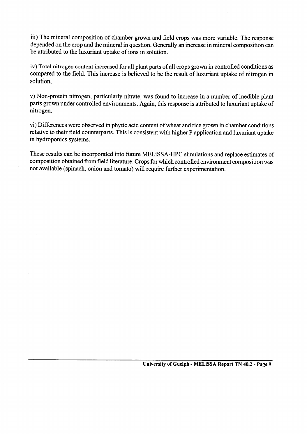iii) The mineral composition of chamber grown and field crops was more variable. The response depended on the crop and the mineral in question. Generally an increase in mineral composition can be attributed to the luxuriant uptake of ions in solution.

iv) Total **nitrogen content increased for all plant parts of all crops grown in** controlled conditions as compared to the field. This increase is believed to be the result of luxuriant uptake of nitrogen in solution,

v) Non-protein nitrogen, particularly nitrate, was found to increase in a number of inedible plant parts grown under controlled environments. Again, this response is attributed to luxuriant uptake of nitrogen,

vi) Differences were observed in phytic acid content of wheat and rice grown in chamber conditions relative to their field counterparts. This is consistent with higher P application and luxuriant uptake in hydroponics systems.

I nese results can be incorporated into future MELISSA-HPC simulations and replace estimates of composition obtained from field literature. Crops for which controlled environment composition was not available (spinach, onion and tomato) will require further experimentation.